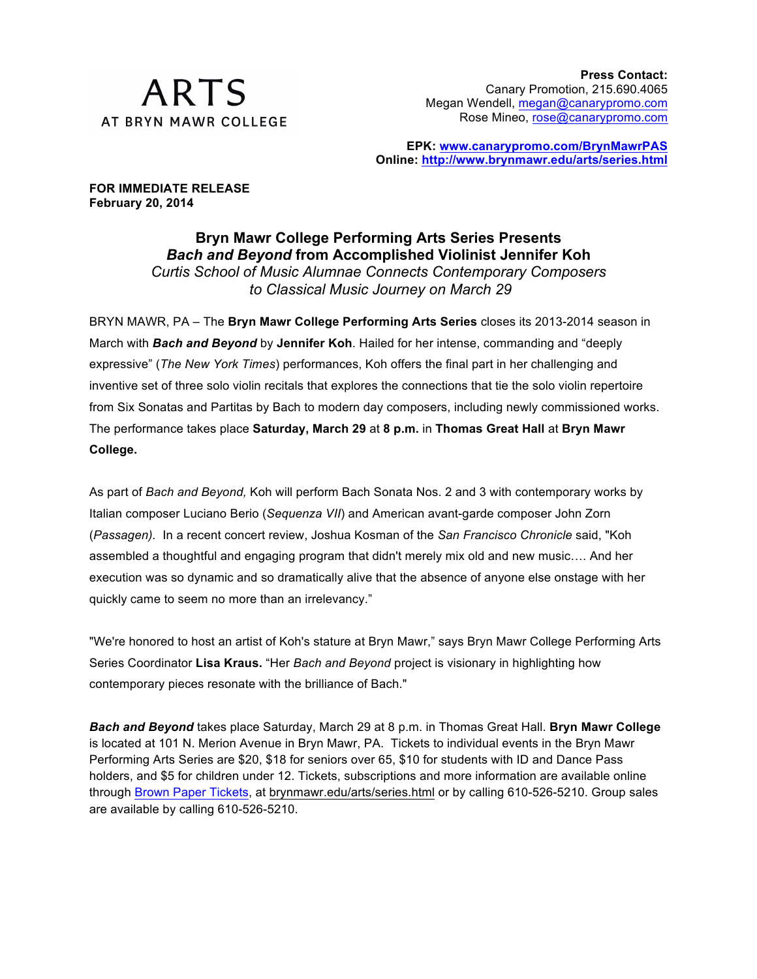

**EPK: www.canarypromo.com/BrynMawrPAS Online: http://www.brynmawr.edu/arts/series.html**

**FOR IMMEDIATE RELEASE February 20, 2014**

> **Bryn Mawr College Performing Arts Series Presents** *Bach and Beyond* **from Accomplished Violinist Jennifer Koh** *Curtis School of Music Alumnae Connects Contemporary Composers to Classical Music Journey on March 29*

BRYN MAWR, PA – The **Bryn Mawr College Performing Arts Series** closes its 2013-2014 season in March with *Bach and Beyond* by **Jennifer Koh**. Hailed for her intense, commanding and "deeply expressive" (*The New York Times*) performances, Koh offers the final part in her challenging and inventive set of three solo violin recitals that explores the connections that tie the solo violin repertoire from Six Sonatas and Partitas by Bach to modern day composers, including newly commissioned works. The performance takes place **Saturday, March 29** at **8 p.m.** in **Thomas Great Hall** at **Bryn Mawr College.**

As part of *Bach and Beyond,* Koh will perform Bach Sonata Nos. 2 and 3 with contemporary works by Italian composer Luciano Berio (*Sequenza VII*) and American avant-garde composer John Zorn (*Passagen).* In a recent concert review, Joshua Kosman of the *San Francisco Chronicle* said, "Koh assembled a thoughtful and engaging program that didn't merely mix old and new music…. And her execution was so dynamic and so dramatically alive that the absence of anyone else onstage with her quickly came to seem no more than an irrelevancy."

"We're honored to host an artist of Koh's stature at Bryn Mawr," says Bryn Mawr College Performing Arts Series Coordinator **Lisa Kraus.** "Her *Bach and Beyond* project is visionary in highlighting how contemporary pieces resonate with the brilliance of Bach."

*Bach and Beyond* takes place Saturday, March 29 at 8 p.m. in Thomas Great Hall. **Bryn Mawr College** is located at 101 N. Merion Avenue in Bryn Mawr, PA. Tickets to individual events in the Bryn Mawr Performing Arts Series are \$20, \$18 for seniors over 65, \$10 for students with ID and Dance Pass holders, and \$5 for children under 12. Tickets, subscriptions and more information are available online through Brown Paper Tickets, at brynmawr.edu/arts/series.html or by calling 610-526-5210. Group sales are available by calling 610-526-5210.